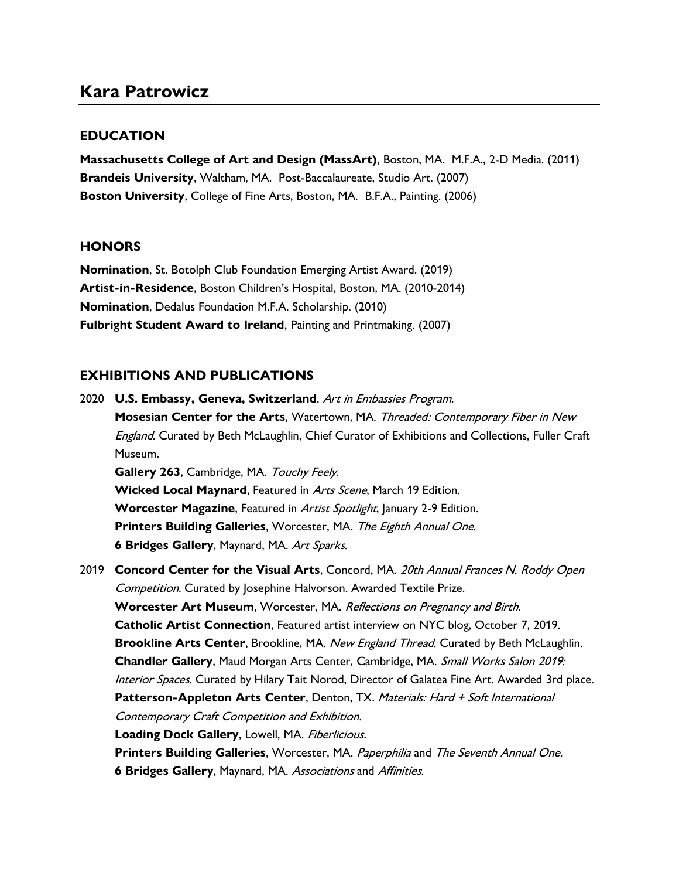## Kara Patrowicz

## **EDUCATION**

Massachusetts College of Art and Design (MassArt), Boston, MA. M.F.A., 2-D Media. (2011) Brandeis University, Waltham, MA. Post-Baccalaureate, Studio Art. (2007) Boston University, College of Fine Arts, Boston, MA. B.F.A., Painting. (2006)

## **HONORS**

Nomination, St. Botolph Club Foundation Emerging Artist Award. (2019) Artist-in-Residence, Boston Children's Hospital, Boston, MA. (2010-2014) Nomination, Dedalus Foundation M.F.A. Scholarship. (2010) Fulbright Student Award to Ireland, Painting and Printmaking. (2007)

## EXHIBITIONS AND PUBLICATIONS

| 2020 | U.S. Embassy, Geneva, Switzerland. Art in Embassies Program.                                    |
|------|-------------------------------------------------------------------------------------------------|
|      | Mosesian Center for the Arts, Watertown, MA. Threaded: Contemporary Fiber in New                |
|      | England. Curated by Beth McLaughlin, Chief Curator of Exhibitions and Collections, Fuller Craft |
|      | Museum.                                                                                         |
|      | Gallery 263, Cambridge, MA. Touchy Feely.                                                       |
|      | Wicked Local Maynard, Featured in Arts Scene, March 19 Edition.                                 |
|      | Worcester Magazine, Featured in Artist Spotlight, January 2-9 Edition.                          |
|      | Printers Building Galleries, Worcester, MA. The Eighth Annual One.                              |
|      | 6 Bridges Gallery, Maynard, MA. Art Sparks.                                                     |
| 2019 | Concord Center for the Visual Arts, Concord, MA. 20th Annual Frances N. Roddy Open              |
|      | Competition. Curated by Josephine Halvorson. Awarded Textile Prize.                             |
|      | Worcester Art Museum, Worcester, MA. Reflections on Pregnancy and Birth.                        |
|      | Catholic Artist Connection, Featured artist interview on NYC blog, October 7, 2019.             |
|      | Brookline Arts Center, Brookline, MA. New England Thread. Curated by Beth McLaughlin.           |
|      | Chandler Gallery, Maud Morgan Arts Center, Cambridge, MA. Small Works Salon 2019:               |
|      | Interior Spaces. Curated by Hilary Tait Norod, Director of Galatea Fine Art. Awarded 3rd place. |
|      | Patterson-Appleton Arts Center, Denton, TX. Materials: Hard + Soft International                |
|      | Contemporary Craft Competition and Exhibition.                                                  |
|      | Loading Dock Gallery, Lowell, MA. Fiberlicious.                                                 |
|      | Printers Building Galleries, Worcester, MA. Paperphilia and The Seventh Annual One.             |
|      | 6 Bridges Gallery, Maynard, MA. Associations and Affinities.                                    |